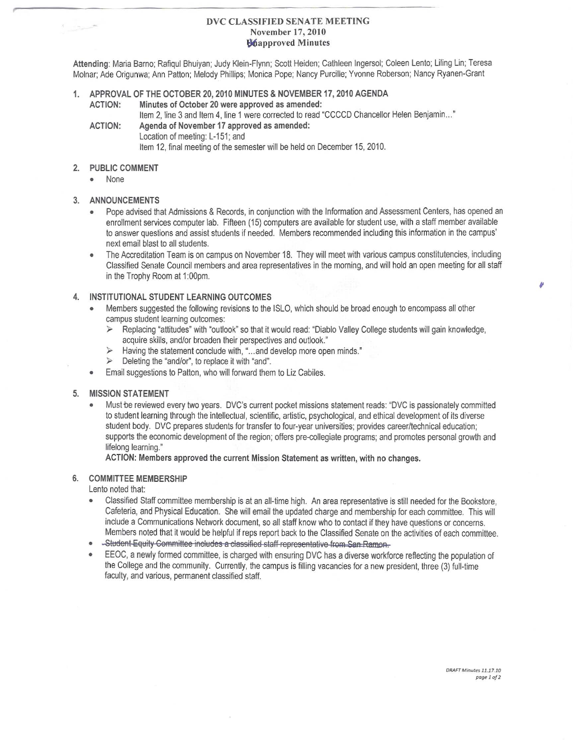## DVC CLASSIFIED SENATE MEETING November 17,2010 l;Wiapproved Minutes

Attending: Maria Barno; Rafiqul Bhuiyan; Judy Klein-Flynn; Scott Heiden; Cathleen Ingersol; Coleen Lento; Liling Lin; Teresa Molnar; Ade Origunwa; Ann Patton; Melody Phillips; Monica Pope; Nancy PurGille; Yvonne Roberson; Nancy Ryanen-Grant

## 1. APPROVAL OF THE OCTOBER 20, 2010 MINUTES & NOVEMBER 17, 2010 AGENDA ACTION: Minutes of October 20 were approved as amended:

Item 2, line 3 and Item 4, line 1 were corrected to read "CCCCD Chancellor Helen Benjamin..." ACTION: Agenda of November 17 approved as amended:

Location of meeting: L-151; and Item 12, final meeting of the semester will be held on December 15, 2010.

# 2. PUBLIC COMMENT

**• None**

## 3. ANNOUNCEMENTS

- Pope advised that Admissions & Records, in conjunction with the Information and Assessment Centers, has opened an enrollment services computer lab. Fifteen (15) computers are available for sfudent use, with astaff member available to answer questions and assist students if needed. Members recommended including this information in the campus' next email blast to all students.
- The Accreditation Team is on campus on November 18. They will meet with various campus constitutencies, including Classified Senate Council members and area representatives in the morning, and will hold an open meeting for all staff in the Trophy Room at 1:00pm.

# 4. INSTITUTIONAL STUDENT LEARNING OUTCOMES

- Members suggested the following revisions to the ISLO, which should be broad enough to encompass all other campus student learning outcomes:
	- Replacing 'attitudes" with 'outlook' so thai it would read: 'Diablo Valley College students will gain knowledge,  $\blacktriangleright$ acquire skills, and/or broaden their perspectives and outlook."
	- Having the statement conclude with, "...and develop more open minds."
	- $\prec$ Deleting the "and/or", to replace it with "and".
- o Email suggestions to Patton, who will forward them to Liz Cabiles.

# 5. MISSION STATEMENT

Must be reviewed every two years. DVC's current pocket missions statement reads: "DVC is passionately committed to student learning through the intellectual, scientific, artistic, psychological, and ethical development of its diverse student body. DVC prepares students for transfer to four-year universities; provides career/technical education; supports the economic development of the region; offers pre-collegiate programs; and promotes personal growth and lifelong learning."

#### ACTION: Members approved the current Mission Statement as written, with no changes.

## 6. COMMITTEE MEMBERSHIP

Lento noted that:

- Classified Staff committee membership is at an all-time high. An area representative is still needed for the Bookstore, Cafeteria, and Physical Education. She will email the updated charge and membership for each committee. This will include a Communications Network document, so all staff know who to contact if they have questions or concerns. Members noted that it would be helpful if reps report back to the Classified Senate on lhe activities of each committee.
- Student Equity Committee includes a classified staff representative from San Ramon.
- o EEOC, a newly formed committee, is charged with ensuring DVC has adiverse workforce reflecling the population of the College and the community. Currently, the campus is filling vacancies for a new president, three (3) full-lime faculty, and various, permanent classified staff.